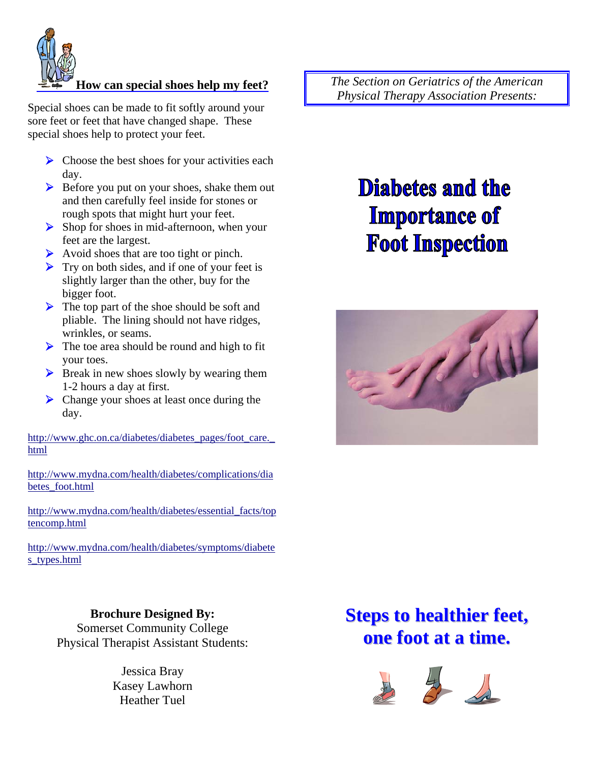

#### **How can special shoes help my feet?**

Special shoes can be made to fit softly around your sore feet or feet that have changed shape. These special shoes help to protect your feet.

- $\triangleright$  Choose the best shoes for your activities each day.
- $\triangleright$  Before you put on your shoes, shake them out and then carefully feel inside for stones or rough spots that might hurt your feet.
- $\triangleright$  Shop for shoes in mid-afternoon, when your feet are the largest.
- $\triangleright$  Avoid shoes that are too tight or pinch.
- $\triangleright$  Try on both sides, and if one of your feet is slightly larger than the other, buy for the bigger foot.
- $\triangleright$  The top part of the shoe should be soft and pliable. The lining should not have ridges, wrinkles, or seams.
- $\triangleright$  The toe area should be round and high to fit your toes.
- $\triangleright$  Break in new shoes slowly by wearing them 1-2 hours a day at first.
- ▶ Change your shoes at least once during the day.

http://www.ghc.on.ca/diabetes/diabetes\_pages/foot\_care.\_ html

http://www.mydna.com/health/diabetes/complications/dia betes\_foot.html

http://www.mydna.com/health/diabetes/essential\_facts/top tencomp.html

http://www.mydna.com/health/diabetes/symptoms/diabete s\_types.html

> **Brochure Designed By:**  Somerset Community College Physical Therapist Assistant Students:

> > Jessica Bray Kasey Lawhorn Heather Tuel

*The Section on Geriatrics of the American Physical Therapy Association Presents:* 

# **Diabetes and the Importance of Foot Inspection**



# **Steps to healthier feet, one foot at a time.**